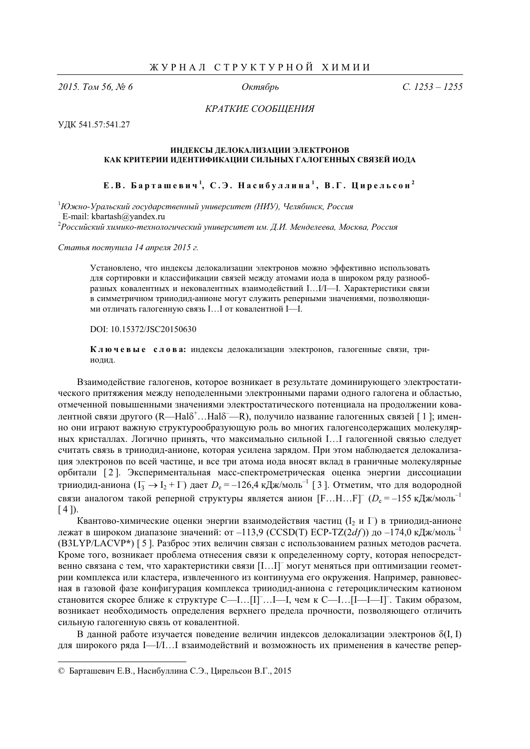2015. Том 56. № 6

Октябрь

 $C. 1253 - 1255$ 

КРАТКИЕ СООБЩЕНИЯ

УДК 541.57:541.27

## ИНЛЕКСЫ ЛЕЛОКАЛИЗАЦИИ ЭЛЕКТРОНОВ КАК КРИТЕРИИ ИДЕНТИФИКАЦИИ СИЛЬНЫХ ГАЛОГЕННЫХ СВЯЗЕЙ ИОДА

Е.В. Барташевич<sup>1</sup>, С.Э. Насибуллина<sup>1</sup>, В.Г. Цирельсон<sup>2</sup>

 $1$ Южно-Уральский государственный университет (НИУ), Челябинск, Россия E-mail: kbartash@yandex.ru

 ${}^2$ Российский химико-технологический университет им. Д.И. Менделеева, Москва, Россия

Статья поступила 14 апреля 2015 г.

Установлено, что индексы делокализации электронов можно эффективно использовать для сортировки и классификации связей между атомами иода в широком ряду разнообразных ковалентных и нековалентных взаимодействий I...I/I-I. Характеристики связи в симметричном трииодид-анионе могут служить реперными значениями, позволяющими отличать галогенную связь  $I...I$  от ковалентной I-I.

DOI: 10.15372/JSC20150630

Ключевые слова: индексы делокализации электронов, галогенные связи, трииолил.

Взаимодействие галогенов, которое возникает в результате доминирующего электростатического притяжения между неподеленными электронными парами одного галогена и областью, отмеченной повышенными значениями электростатического потенциала на продолжении ковалентной связи другого (R—Hal<sub>o</sub><sup>+</sup>...Hal<sub>o</sub><sup>-</sup>-R), получило название галогенных связей [1]; именно они играют важную структурообразующую роль во многих галогенсодержащих молекулярных кристаллах. Логично принять, что максимально сильной I...I галогенной связью следует считать связь в трииодид-анионе, которая усилена зарядом. При этом наблюдается делокализация электронов по всей частице, и все три атома иода вносят вклад в граничные молекулярные орбитали [2]. Экспериментальная масс-спектрометрическая оценка энергии диссоциации трииодид-аниона  $(I_3 \to I_2 + I)$  дает  $D_e = -126.4 \text{ K} \mu\text{K/m}$ оль<sup>-1</sup> [3]. Отметим, что для водородной связи аналогом такой реперной структуры является анион  $[F...H...F]$ <sup>-</sup> ( $D_e$  = -155 кДж/моль<sup>-1</sup>  $[4]$ .

Квантово-химические оценки энергии взаимодействия частиц (I, и  $\Gamma$ ) в трииодид-анионе лежат в широком диапазоне значений: от -113,9 (CCSD(T) ECP-TZ(2df)) до -174,0 кДж/моль<sup>-1</sup> (B3LYP/LACVP\*) [5]. Разброс этих величин связан с использованием разных методов расчета. Кроме того, возникает проблема отнесения связи к определенному сорту, которая непосредственно связана с тем, что характеристики связи [I...I] могут меняться при оптимизации геометрии комплекса или кластера, извлеченного из континуума его окружения. Например, равновесная в газовой фазе конфигурация комплекса трииодид-аниона с гетероциклическим катионом становится скорее ближе к структуре С- I... [I] ... I-I, чем к С- I... [I-I-I]. Таким образом, возникает необходимость определения верхнего предела прочности, позволяющего отличить сильную галогенную связь от ковалентной.

В данной работе изучается поведение величин индексов делокализации электронов  $\delta(I, I)$ для широкого ряда I—I/I... І взаимодействий и возможность их применения в качестве репер-

<sup>©</sup> Барташевич Е.В., Насибуллина С.Э., Цирельсон В.Г., 2015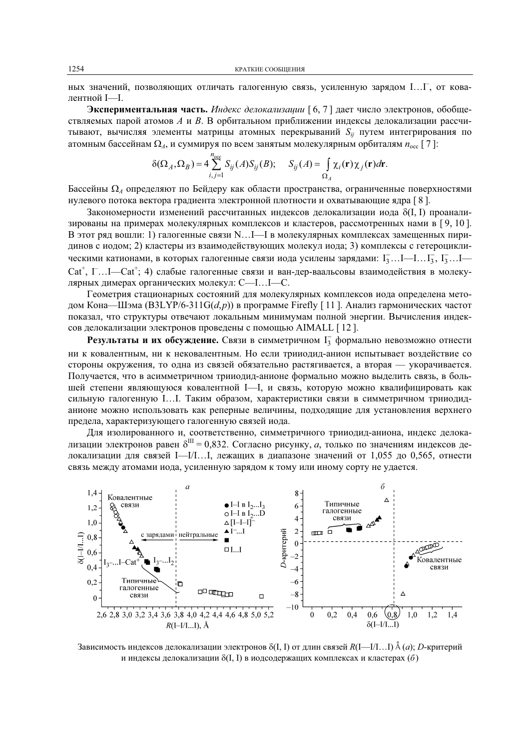ных значений, позволяющих отличать галогенную связь, усиленную зарядом I...I<sup>-</sup>, от ковалентной I-I.

Экспериментальная часть. Индекс делокализации [6,7] дает число электронов, обобществляемых парой атомов А и В. В орбитальном приближении индексы делокализации рассчитывают, вычисляя элементы матрицы атомных перекрываний  $S_{ii}$  путем интегрирования по атомным бассейнам  $\Omega_A$ , и суммируя по всем занятым молекулярным орбиталям  $n_{\text{occ}}$  [7]:

$$
\delta(\Omega_A, \Omega_B) = 4 \sum_{i,j=1}^{N_{\text{occ}}} S_{ij}(A) S_{ij}(B); \quad S_{ij}(A) = \int_{\Omega_A} \chi_i(\mathbf{r}) \chi_j(\mathbf{r}) d\mathbf{r}
$$

Бассейны  $\Omega_A$  определяют по Бейдеру как области пространства, ограниченные поверхностями нулевого потока вектора градиента электронной плотности и охватывающие ядра [8].

Закономерности изменений рассчитанных индексов делокализации иода  $\delta(I, I)$  проанализированы на примерах молекулярных комплексов и кластеров, рассмотренных нами в [9, 10]. В этот ряд вошли: 1) галогенные связи N...I—I в молекулярных комплексах замещенных пиридинов с иодом; 2) кластеры из взаимодействующих молекул иода; 3) комплексы с гетероциклическими катионами, в которых галогенные связи иода усилены зарядами:  $I_3 \dots I_{-1} \dots I_3$ ,  $I_3 \dots I_{-1}$  $Cat^{\dagger}$ ,  $\Gamma$ ...I—Cat<sup>+</sup>; 4) слабые галогенные связи и ван-дер-ваальсовы взаимодействия в молекулярных димерах органических молекул: С- I... I-С.

Геометрия стационарных состояний для молекулярных комплексов иода определена методом Кона—Шэма (B3LYP/6-311G(d,p)) в программе Firefly [11]. Анализ гармонических частот показал, что структуры отвечают локальным минимумам полной энергии. Вычисления индексов делокализации электронов проведены с помощью AIMALL [12].

**Результаты и их обсуждение.** Связи в симметричном  $I_3^-$  формально невозможно отнести ни к ковалентным, ни к нековалентным. Но если трииодид-анион испытывает воздействие со стороны окружения, то одна из связей обязательно растягивается, а вторая — укорачивается. Получается, что в асимметричном трииодид-анионе формально можно выделить связь, в большей степени являющуюся ковалентной I-I, и связь, которую можно квалифицировать как сильную галогенную І... І. Таким образом, характеристики связи в симметричном трииодиданионе можно использовать как реперные величины, подходящие для установления верхнего предела, характеризующего галогенную связей иода.

Для изолированного и, соответственно, симметричного трииодид-аниона, индекс делокализации электронов равен  $\delta^{III} = 0.832$ . Согласно рисунку, а, только по значениям индексов делокализации для связей I—I/I...I, лежащих в диапазоне значений от 1,055 до 0,565, отнести связь между атомами иода, усиленную зарядом к тому или иному сорту не удается.



Зависимость индексов делокализации электронов  $\delta(I, I)$  от длин связей  $R(I-1/I...I)$   $\stackrel{8}{\land} (a)$ ; D-критерий и индексы делокализации  $\delta(I, I)$  в иодсодержащих комплексах и кластерах (б)